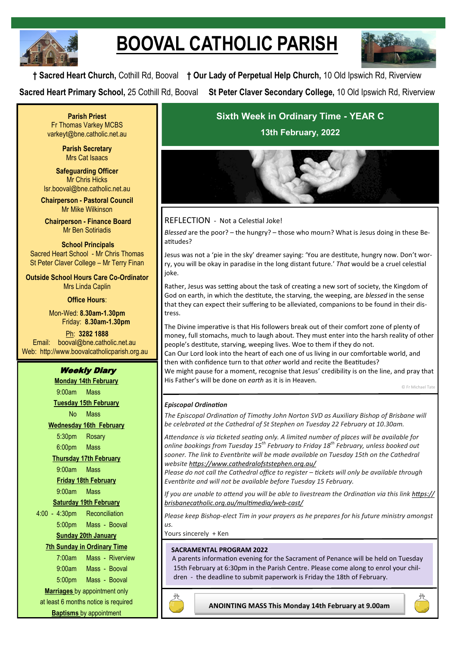

# **BOOVAL CATHOLIC PARISH**



**† Sacred Heart Church,** Cothill Rd, Booval **† Our Lady of Perpetual Help Church,** 10 Old Ipswich Rd, Riverview **Sacred Heart Primary School,** 25 Cothill Rd, Booval **St Peter Claver Secondary College,** 10 Old Ipswich Rd, Riverview

**Parish Priest** Fr Thomas Varkey MCBS varkeyt@bne.catholic.net.au

> **Parish Secretary** Mrs Cat Isaacs

**Safeguarding Officer** Mr Chris Hicks [lsr.booval@bne.catholic.net.au](mailto:lsr.booval@bne.catholi.net.au)

**Chairperson - Pastoral Council** Mr Mike Wilkinson

**Chairperson - Finance Board** Mr Ben Sotiriadis

**School Principals** Sacred Heart School - Mr Chris Thomas St Peter Claver College – Mr Terry Finan

**Outside School Hours Care Co-Ordinator** Mrs Linda Caplin

### **Office Hours**:

Mon-Wed: **8.30am-1.30pm** Friday: **8.30am-1.30pm**

Ph: **3282 1888**  Email: booval@bne.catholic.net.au Web: http://www.boovalcatholicparish.org.au

# Weekly Diary

**Monday 14th February** 9:00am Mass **Tuesday 15th February** No Mass **Wednesday 16th February** 5:30pm Rosary 6:00pm Mass **Thursday 17th February** 9:00am Mass **Friday 18th February** 9:00am Mass **Saturday 19th February** 4:00 - 4:30pm Reconciliation 5:00pm Mass - Booval **Sunday 20th January 7th Sunday in Ordinary Time**  7:00am Mass - Riverview 9:00am Mass - Booval 5:00pm Mass - Booval **Marriages** by appointment only at least 6 months notice is required **Baptisms** by appointment

# **Sixth Week in Ordinary Time - YEAR C 13th February, 2022**



# REFLECTION - Not a Celestial Joke!

*Blessed* are the poor? – the hungry? – those who mourn? What is Jesus doing in these Beatitudes?

Jesus was not a 'pie in the sky' dreamer saying: 'You are destitute, hungry now. Don't worry, you will be okay in paradise in the long distant future.' *That* would be a cruel celestial joke.

Rather, Jesus was setting about the task of creating a new sort of society, the Kingdom of God on earth, in which the destitute, the starving, the weeping, are *blessed* in the sense that they can expect their suffering to be alleviated, companions to be found in their distress.

The Divine imperative is that His followers break out of their comfort zone of plenty of money, full stomachs, much to laugh about. They must enter into the harsh reality of other people's destitute, starving, weeping lives. Woe to them if they do not. Can Our Lord look into the heart of each one of us living in our comfortable world, and then with confidence turn to that *other* world and recite the Beatitudes? We might pause for a moment, recognise that Jesus' credibility is on the line, and pray that His Father's will be done on *earth* as it is in Heaven.

© Fr Michael Tate

# *Episcopal Ordination*

*The Episcopal Ordination of Timothy John Norton SVD as Auxiliary Bishop of Brisbane will be celebrated at the Cathedral of St Stephen on Tuesday 22 February at 10.30am.*

*Attendance is via ticketed seating only. A limited number of places will be available for online bookings from Tuesday 15th February to Friday 18th February, unless booked out*  sooner. The link to Eventbrite will be made available on Tuesday 15th on the Cathedral *website <https://www.cathedralofststephen.org.au/>*

*Please do not call the Cathedral office to register – tickets will only be available through Eventbrite and will not be available before Tuesday 15 February.*

*If you are unable to attend you will be able to livestream the Ordination via this link [https://](https://brisbanecatholic.org.au/multimedia/web-cast/) [brisbanecatholic.org.au/multimedia/web](https://brisbanecatholic.org.au/multimedia/web-cast/)-cast/*

*Please keep Bishop-elect Tim in your prayers as he prepares for his future ministry amongst us.*

Yours sincerely + Ken

# **SACRAMENTAL PROGRAM 2022**

A parents information evening for the Sacrament of Penance will be held on Tuesday 15th February at 6:30pm in the Parish Centre. Please come along to enrol your children - the deadline to submit paperwork is Friday the 18th of February.



**ANOINTING MASS This Monday 14th February at 9.00am**